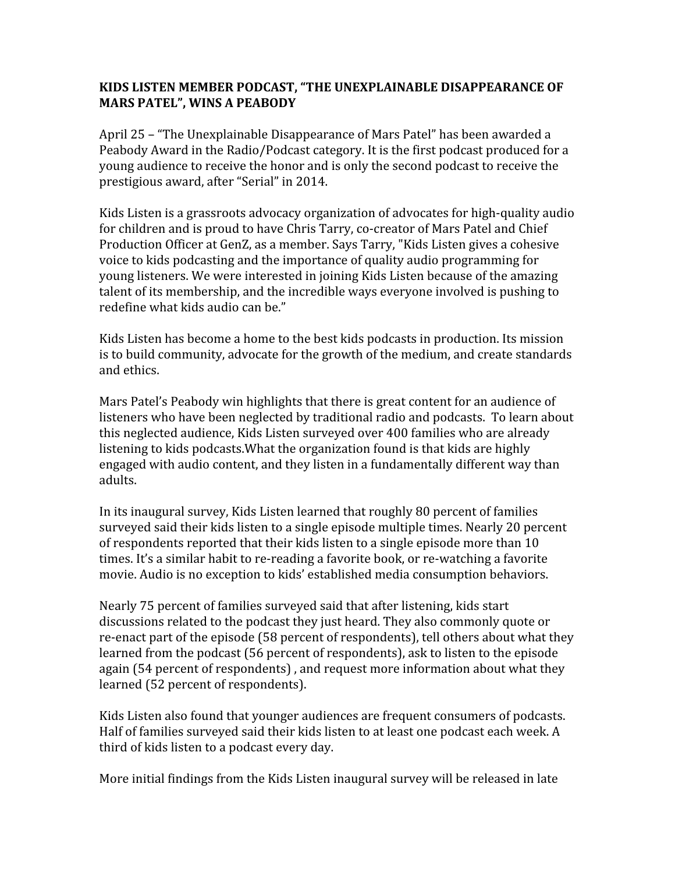## **KIDS LISTEN MEMBER PODCAST, "THE UNEXPLAINABLE DISAPPEARANCE OF MARS PATEL", WINS A PEABODY**

April 25 – "The Unexplainable Disappearance of Mars Patel" has been awarded a Peabody Award in the Radio/Podcast category. It is the first podcast produced for a young audience to receive the honor and is only the second podcast to receive the prestigious award, after "Serial" in 2014.

Kids Listen is a grassroots advocacy organization of advocates for high-quality audio for children and is proud to have Chris Tarry, co-creator of Mars Patel and Chief Production Officer at GenZ, as a member. Says Tarry, "Kids Listen gives a cohesive voice to kids podcasting and the importance of quality audio programming for young listeners. We were interested in joining Kids Listen because of the amazing talent of its membership, and the incredible ways everyone involved is pushing to redefine what kids audio can be."

Kids Listen has become a home to the best kids podcasts in production. Its mission is to build community, advocate for the growth of the medium, and create standards and ethics.

Mars Patel's Peabody win highlights that there is great content for an audience of listeners who have been neglected by traditional radio and podcasts. To learn about this neglected audience, Kids Listen surveyed over 400 families who are already listening to kids podcasts.What the organization found is that kids are highly engaged with audio content, and they listen in a fundamentally different way than adults.

In its inaugural survey, Kids Listen learned that roughly 80 percent of families surveyed said their kids listen to a single episode multiple times. Nearly 20 percent of respondents reported that their kids listen to a single episode more than 10 times. It's a similar habit to re-reading a favorite book, or re-watching a favorite movie. Audio is no exception to kids' established media consumption behaviors.

Nearly 75 percent of families surveyed said that after listening, kids start discussions related to the podcast they just heard. They also commonly quote or re-enact part of the episode (58 percent of respondents), tell others about what they learned from the podcast (56 percent of respondents), ask to listen to the episode again (54 percent of respondents) , and request more information about what they learned (52 percent of respondents).

Kids Listen also found that younger audiences are frequent consumers of podcasts. Half of families surveyed said their kids listen to at least one podcast each week. A third of kids listen to a podcast every day.

More initial findings from the Kids Listen inaugural survey will be released in late